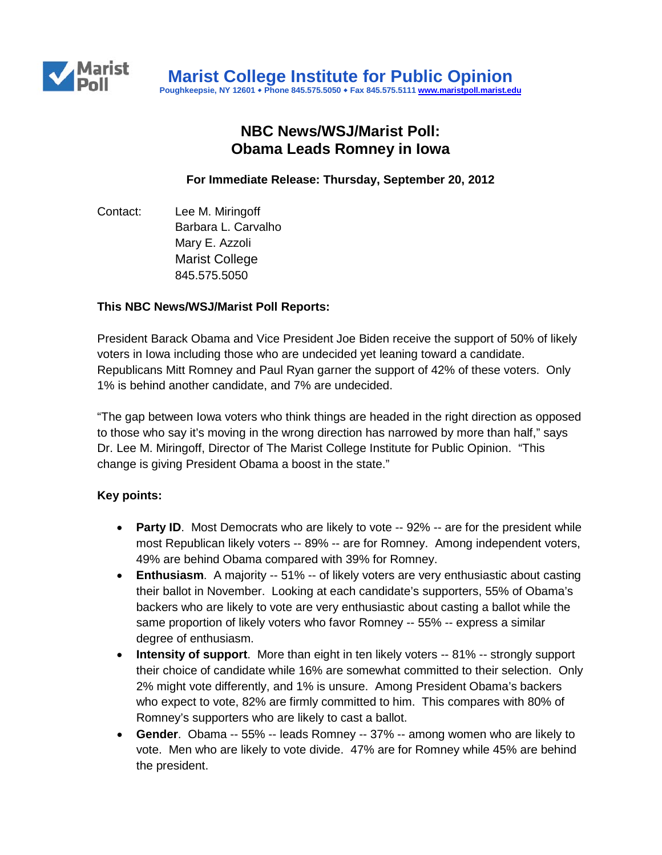

# **NBC News/WSJ/Marist Poll: Obama Leads Romney in Iowa**

**For Immediate Release: Thursday, September 20, 2012**

Contact: Lee M. Miringoff Barbara L. Carvalho Mary E. Azzoli Marist College 845.575.5050

#### **This NBC News/WSJ/Marist Poll Reports:**

President Barack Obama and Vice President Joe Biden receive the support of 50% of likely voters in Iowa including those who are undecided yet leaning toward a candidate. Republicans Mitt Romney and Paul Ryan garner the support of 42% of these voters. Only 1% is behind another candidate, and 7% are undecided.

"The gap between Iowa voters who think things are headed in the right direction as opposed to those who say it's moving in the wrong direction has narrowed by more than half," says Dr. Lee M. Miringoff, Director of The Marist College Institute for Public Opinion. "This change is giving President Obama a boost in the state."

## **Key points:**

- **Party ID**. Most Democrats who are likely to vote -- 92% -- are for the president while most Republican likely voters -- 89% -- are for Romney. Among independent voters, 49% are behind Obama compared with 39% for Romney.
- **Enthusiasm**. A majority -- 51% -- of likely voters are very enthusiastic about casting their ballot in November. Looking at each candidate's supporters, 55% of Obama's backers who are likely to vote are very enthusiastic about casting a ballot while the same proportion of likely voters who favor Romney -- 55% -- express a similar degree of enthusiasm.
- **Intensity of support**. More than eight in ten likely voters -- 81% -- strongly support their choice of candidate while 16% are somewhat committed to their selection. Only 2% might vote differently, and 1% is unsure. Among President Obama's backers who expect to vote, 82% are firmly committed to him. This compares with 80% of Romney's supporters who are likely to cast a ballot.
- **Gender**. Obama -- 55% -- leads Romney -- 37% -- among women who are likely to vote. Men who are likely to vote divide. 47% are for Romney while 45% are behind the president.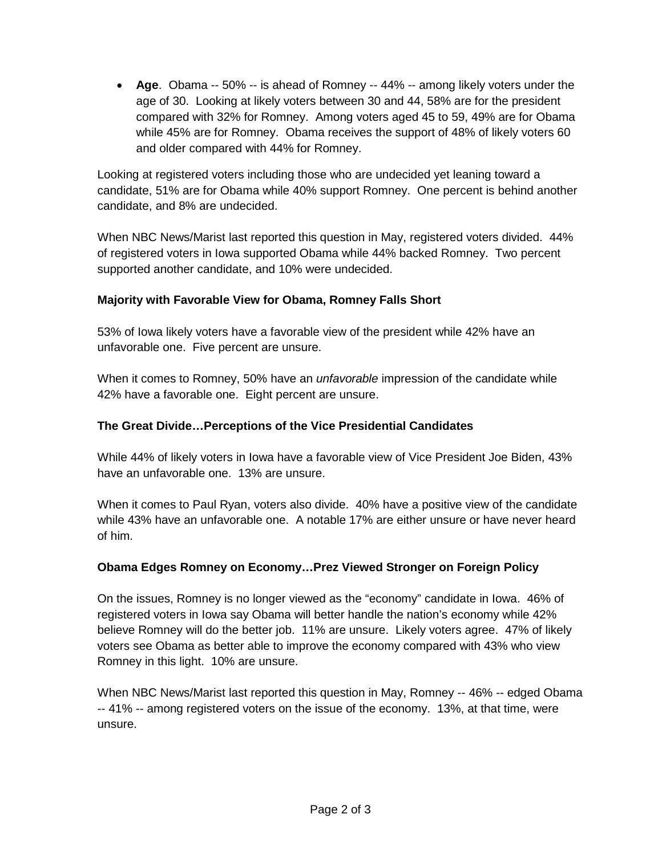• **Age**. Obama -- 50% -- is ahead of Romney -- 44% -- among likely voters under the age of 30. Looking at likely voters between 30 and 44, 58% are for the president compared with 32% for Romney. Among voters aged 45 to 59, 49% are for Obama while 45% are for Romney. Obama receives the support of 48% of likely voters 60 and older compared with 44% for Romney.

Looking at registered voters including those who are undecided yet leaning toward a candidate, 51% are for Obama while 40% support Romney. One percent is behind another candidate, and 8% are undecided.

When NBC News/Marist last reported this question in May, registered voters divided. 44% of registered voters in Iowa supported Obama while 44% backed Romney. Two percent supported another candidate, and 10% were undecided.

# **Majority with Favorable View for Obama, Romney Falls Short**

53% of Iowa likely voters have a favorable view of the president while 42% have an unfavorable one. Five percent are unsure.

When it comes to Romney, 50% have an *unfavorable* impression of the candidate while 42% have a favorable one. Eight percent are unsure.

# **The Great Divide…Perceptions of the Vice Presidential Candidates**

While 44% of likely voters in Iowa have a favorable view of Vice President Joe Biden, 43% have an unfavorable one. 13% are unsure.

When it comes to Paul Ryan, voters also divide. 40% have a positive view of the candidate while 43% have an unfavorable one. A notable 17% are either unsure or have never heard of him.

## **Obama Edges Romney on Economy…Prez Viewed Stronger on Foreign Policy**

On the issues, Romney is no longer viewed as the "economy" candidate in Iowa. 46% of registered voters in Iowa say Obama will better handle the nation's economy while 42% believe Romney will do the better job. 11% are unsure. Likely voters agree. 47% of likely voters see Obama as better able to improve the economy compared with 43% who view Romney in this light. 10% are unsure.

When NBC News/Marist last reported this question in May, Romney -- 46% -- edged Obama -- 41% -- among registered voters on the issue of the economy. 13%, at that time, were unsure.